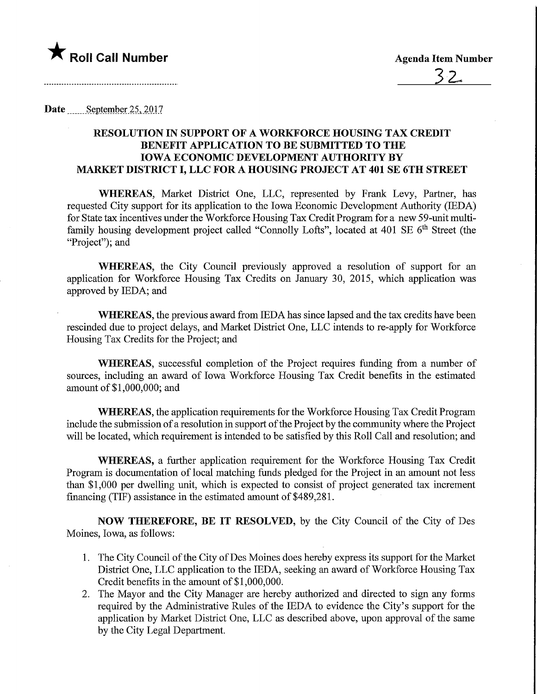

Date \_\_\_\_\_\_ September 25, 2017

## RESOLUTION IN SUPPORT OF A WORKFORCE HOUSING TAX CREDIT BENEFIT APPLICATION TO BE SUBMITTED TO THE IOWA ECONOMIC DEVELOPMENT AUTHORITY BY MARKET DISTRICT I, LLC FOR A HOUSING PROJECT AT 401 SE 6TH STREET

WHEREAS, Market District One, LLC, represented by Frank Levy, Partner, has requested City support for its application to the Iowa Economic Development Authority (IEDA) for State tax incentives under the Workforce Housing Tax Credit Program for a new 59-unit multifamily housing development project called "Connolly Lofts", located at  $401$  SE  $6<sup>th</sup>$  Street (the "Project": and

WHEREAS, the City Council previously approved a resolution of support for an application for Workforce Housing Tax Credits on January 30, 2015, which application was approved by IEDA; and

WHEREAS, the previous award from IEDA has since lapsed and the tax credits have been rescinded due to project delays, and Market District One, LLC intends to re-apply for Workforce Housing Tax Credits for the Project; and

WHEREAS, successful completion of the Project requires funding from a number of sources, including an award of Iowa Workforce Housing Tax Credit benefits in the estimated amount of \$1,000,000; and

WHEREAS, the application requirements for the Workforce Housing Tax Credit Program include the submission of a resolution in support of the Project by the community where the Project will be located, which requirement is intended to be satisfied by this Roll Call and resolution; and

WHEREAS, a further application requirement for the Workforce Housing Tax Credit Program is documentation of local matching funds pledged for the Project in an amount not less than \$1,000 per dwelling unit, which is expected to consist of project generated tax increment financing (TIF) assistance in the estimated amount of \$489,281.

NOW THEREFORE, BE IT RESOLVED, by the City Council of the City of Des Moines, Iowa, as follows:

- 1. The City Council of the City of Des Moines does hereby express its support for the Market District One, LLC application to the IEDA, seeking an award of Workforce Housing Tax Credit benefits in the amount of \$1,000,000.
- 2. The Mayor and the City Manager are hereby authorized and directed to sign any forms required by the Administrative Rules of the IEDA to evidence the City's support for the application by Market District One, LLC as described above, upon approval of the same by the City Legal Department.